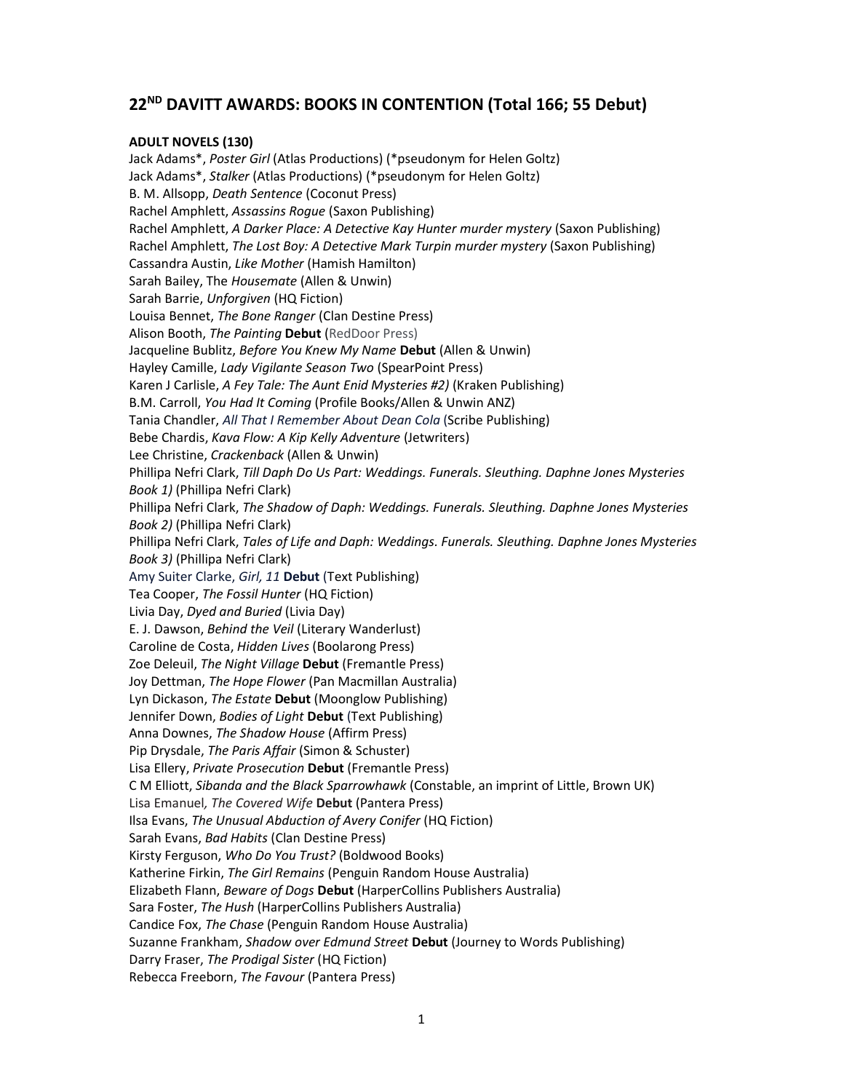# 22<sup>ND</sup> DAVITT AWARDS: BOOKS IN CONTENTION (Total 166; 55 Debut)

### ADULT NOVELS (130)

Jack Adams\*, Poster Girl (Atlas Productions) (\*pseudonym for Helen Goltz) Jack Adams\*, Stalker (Atlas Productions) (\*pseudonym for Helen Goltz) B. M. Allsopp, Death Sentence (Coconut Press) Rachel Amphlett, Assassins Rogue (Saxon Publishing) Rachel Amphlett, A Darker Place: A Detective Kay Hunter murder mystery (Saxon Publishing) Rachel Amphlett, The Lost Boy: A Detective Mark Turpin murder mystery (Saxon Publishing) Cassandra Austin, Like Mother (Hamish Hamilton) Sarah Bailey, The Housemate (Allen & Unwin) Sarah Barrie, Unforgiven (HQ Fiction) Louisa Bennet, The Bone Ranger (Clan Destine Press) Alison Booth, The Painting Debut (RedDoor Press) Jacqueline Bublitz, Before You Knew My Name Debut (Allen & Unwin) Hayley Camille, Lady Vigilante Season Two (SpearPoint Press) Karen J Carlisle, A Fey Tale: The Aunt Enid Mysteries #2) (Kraken Publishing) B.M. Carroll, You Had It Coming (Profile Books/Allen & Unwin ANZ) Tania Chandler, All That I Remember About Dean Cola (Scribe Publishing) Bebe Chardis, Kava Flow: A Kip Kelly Adventure (Jetwriters) Lee Christine, Crackenback (Allen & Unwin) Phillipa Nefri Clark, Till Daph Do Us Part: Weddings. Funerals. Sleuthing. Daphne Jones Mysteries Book 1) (Phillipa Nefri Clark) Phillipa Nefri Clark, The Shadow of Daph: Weddings. Funerals. Sleuthing. Daphne Jones Mysteries Book 2) (Phillipa Nefri Clark) Phillipa Nefri Clark, Tales of Life and Daph: Weddings. Funerals. Sleuthing. Daphne Jones Mysteries Book 3) (Phillipa Nefri Clark) Amy Suiter Clarke, Girl, 11 Debut (Text Publishing) Tea Cooper, The Fossil Hunter (HQ Fiction) Livia Day, Dyed and Buried (Livia Day) E. J. Dawson, Behind the Veil (Literary Wanderlust) Caroline de Costa, Hidden Lives (Boolarong Press) Zoe Deleuil, The Night Village Debut (Fremantle Press) Joy Dettman, The Hope Flower (Pan Macmillan Australia) Lyn Dickason, The Estate Debut (Moonglow Publishing) Jennifer Down, Bodies of Light Debut (Text Publishing) Anna Downes, The Shadow House (Affirm Press) Pip Drysdale, The Paris Affair (Simon & Schuster) Lisa Ellery, Private Prosecution Debut (Fremantle Press) C M Elliott, Sibanda and the Black Sparrowhawk (Constable, an imprint of Little, Brown UK) Lisa Emanuel, The Covered Wife Debut (Pantera Press) Ilsa Evans, The Unusual Abduction of Avery Conifer (HQ Fiction) Sarah Evans, Bad Habits (Clan Destine Press) Kirsty Ferguson, Who Do You Trust? (Boldwood Books) Katherine Firkin, The Girl Remains (Penguin Random House Australia) Elizabeth Flann, Beware of Dogs Debut (HarperCollins Publishers Australia) Sara Foster, The Hush (HarperCollins Publishers Australia) Candice Fox, The Chase (Penguin Random House Australia) Suzanne Frankham, Shadow over Edmund Street Debut (Journey to Words Publishing) Darry Fraser, The Prodigal Sister (HQ Fiction) Rebecca Freeborn, The Favour (Pantera Press)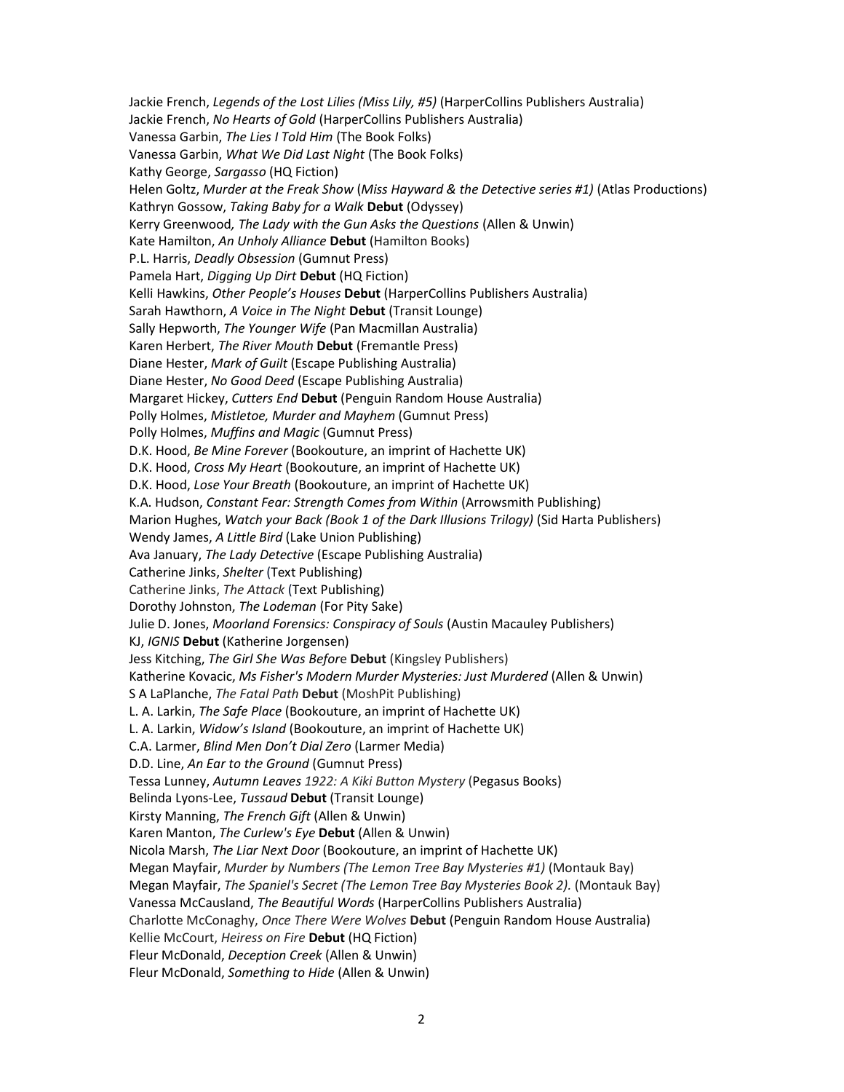Jackie French, Legends of the Lost Lilies (Miss Lily, #5) (HarperCollins Publishers Australia) Jackie French, No Hearts of Gold (HarperCollins Publishers Australia) Vanessa Garbin, The Lies I Told Him (The Book Folks) Vanessa Garbin, What We Did Last Night (The Book Folks) Kathy George, Sargasso (HQ Fiction) Helen Goltz, Murder at the Freak Show (Miss Hayward & the Detective series #1) (Atlas Productions) Kathryn Gossow, Taking Baby for a Walk Debut (Odyssey) Kerry Greenwood, The Lady with the Gun Asks the Questions (Allen & Unwin) Kate Hamilton, An Unholy Alliance Debut (Hamilton Books) P.L. Harris, Deadly Obsession (Gumnut Press) Pamela Hart, Digging Up Dirt Debut (HQ Fiction) Kelli Hawkins, Other People's Houses Debut (HarperCollins Publishers Australia) Sarah Hawthorn, A Voice in The Night Debut (Transit Lounge) Sally Hepworth, The Younger Wife (Pan Macmillan Australia) Karen Herbert, The River Mouth Debut (Fremantle Press) Diane Hester, Mark of Guilt (Escape Publishing Australia) Diane Hester, No Good Deed (Escape Publishing Australia) Margaret Hickey, Cutters End Debut (Penguin Random House Australia) Polly Holmes, Mistletoe, Murder and Mayhem (Gumnut Press) Polly Holmes, Muffins and Magic (Gumnut Press) D.K. Hood, Be Mine Forever (Bookouture, an imprint of Hachette UK) D.K. Hood, Cross My Heart (Bookouture, an imprint of Hachette UK) D.K. Hood, Lose Your Breath (Bookouture, an imprint of Hachette UK) K.A. Hudson, Constant Fear: Strength Comes from Within (Arrowsmith Publishing) Marion Hughes, Watch your Back (Book 1 of the Dark Illusions Trilogy) (Sid Harta Publishers) Wendy James, A Little Bird (Lake Union Publishing) Ava January, The Lady Detective (Escape Publishing Australia) Catherine Jinks, Shelter (Text Publishing) Catherine Jinks, The Attack (Text Publishing) Dorothy Johnston, The Lodeman (For Pity Sake) Julie D. Jones, Moorland Forensics: Conspiracy of Souls (Austin Macauley Publishers) KJ, IGNIS Debut (Katherine Jorgensen) Jess Kitching, The Girl She Was Before Debut (Kingsley Publishers) Katherine Kovacic, Ms Fisher's Modern Murder Mysteries: Just Murdered (Allen & Unwin) S A LaPlanche, The Fatal Path Debut (MoshPit Publishing) L. A. Larkin, The Safe Place (Bookouture, an imprint of Hachette UK) L. A. Larkin, Widow's Island (Bookouture, an imprint of Hachette UK) C.A. Larmer, Blind Men Don't Dial Zero (Larmer Media) D.D. Line, An Ear to the Ground (Gumnut Press) Tessa Lunney, Autumn Leaves 1922: A Kiki Button Mystery (Pegasus Books) Belinda Lyons-Lee, Tussaud Debut (Transit Lounge) Kirsty Manning, The French Gift (Allen & Unwin) Karen Manton, The Curlew's Eye Debut (Allen & Unwin) Nicola Marsh, The Liar Next Door (Bookouture, an imprint of Hachette UK) Megan Mayfair, Murder by Numbers (The Lemon Tree Bay Mysteries #1) (Montauk Bay) Megan Mayfair, The Spaniel's Secret (The Lemon Tree Bay Mysteries Book 2). (Montauk Bay) Vanessa McCausland, The Beautiful Words (HarperCollins Publishers Australia) Charlotte McConaghy, Once There Were Wolves Debut (Penguin Random House Australia) Kellie McCourt, Heiress on Fire Debut (HQ Fiction) Fleur McDonald, Deception Creek (Allen & Unwin) Fleur McDonald, Something to Hide (Allen & Unwin)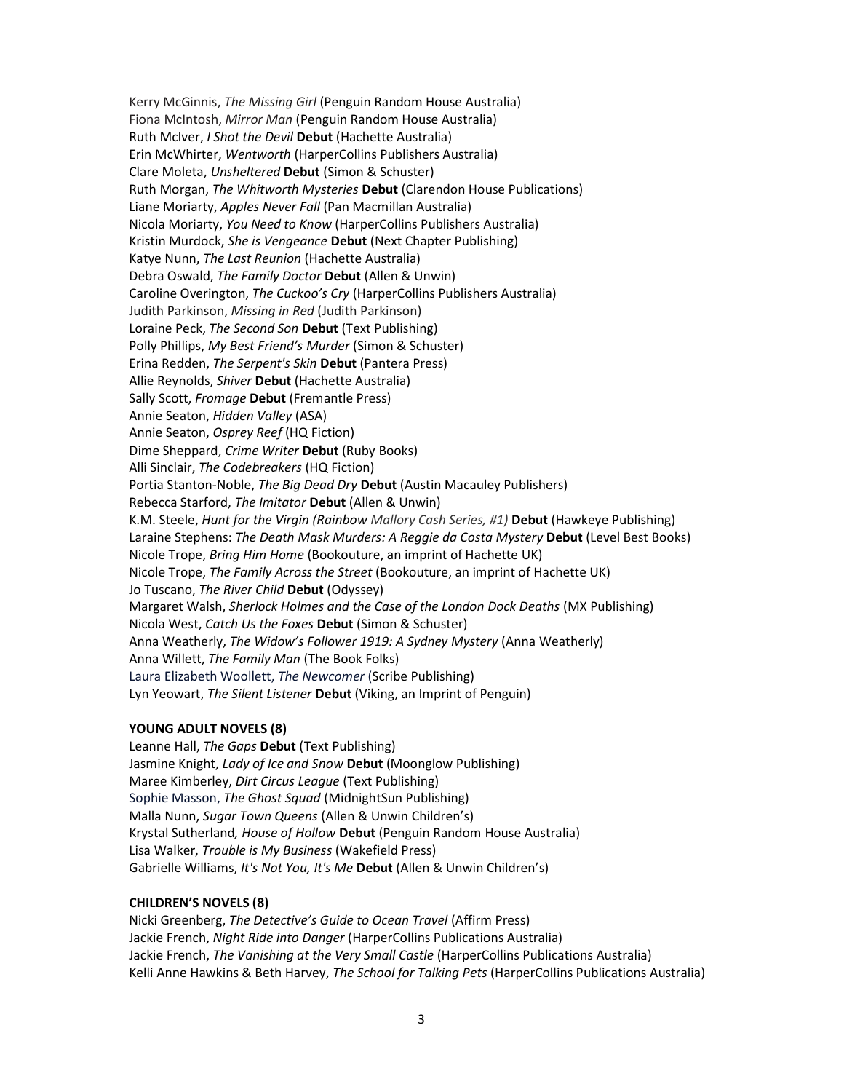Kerry McGinnis, The Missing Girl (Penguin Random House Australia) Fiona McIntosh, Mirror Man (Penguin Random House Australia) Ruth McIver, I Shot the Devil Debut (Hachette Australia) Erin McWhirter, Wentworth (HarperCollins Publishers Australia) Clare Moleta, Unsheltered Debut (Simon & Schuster) Ruth Morgan, The Whitworth Mysteries Debut (Clarendon House Publications) Liane Moriarty, Apples Never Fall (Pan Macmillan Australia) Nicola Moriarty, You Need to Know (HarperCollins Publishers Australia) Kristin Murdock, She is Vengeance Debut (Next Chapter Publishing) Katye Nunn, The Last Reunion (Hachette Australia) Debra Oswald, The Family Doctor Debut (Allen & Unwin) Caroline Overington, The Cuckoo's Cry (HarperCollins Publishers Australia) Judith Parkinson, Missing in Red (Judith Parkinson) Loraine Peck, The Second Son Debut (Text Publishing) Polly Phillips, My Best Friend's Murder (Simon & Schuster) Erina Redden, The Serpent's Skin Debut (Pantera Press) Allie Reynolds, Shiver Debut (Hachette Australia) Sally Scott, Fromage Debut (Fremantle Press) Annie Seaton, Hidden Valley (ASA) Annie Seaton, Osprey Reef (HQ Fiction) Dime Sheppard, Crime Writer Debut (Ruby Books) Alli Sinclair, The Codebreakers (HQ Fiction) Portia Stanton-Noble, The Big Dead Dry Debut (Austin Macauley Publishers) Rebecca Starford, The Imitator Debut (Allen & Unwin) K.M. Steele, Hunt for the Virgin (Rainbow Mallory Cash Series, #1) Debut (Hawkeye Publishing) Laraine Stephens: The Death Mask Murders: A Reggie da Costa Mystery Debut (Level Best Books) Nicole Trope, Bring Him Home (Bookouture, an imprint of Hachette UK) Nicole Trope, The Family Across the Street (Bookouture, an imprint of Hachette UK) Jo Tuscano, The River Child Debut (Odyssey) Margaret Walsh, Sherlock Holmes and the Case of the London Dock Deaths (MX Publishing) Nicola West, Catch Us the Foxes Debut (Simon & Schuster) Anna Weatherly, The Widow's Follower 1919: A Sydney Mystery (Anna Weatherly) Anna Willett, The Family Man (The Book Folks) Laura Elizabeth Woollett, The Newcomer (Scribe Publishing) Lyn Yeowart, The Silent Listener Debut (Viking, an Imprint of Penguin)

#### YOUNG ADULT NOVELS (8)

Leanne Hall, The Gaps Debut (Text Publishing) Jasmine Knight, Lady of Ice and Snow Debut (Moonglow Publishing) Maree Kimberley, Dirt Circus League (Text Publishing) Sophie Masson, The Ghost Squad (MidnightSun Publishing) Malla Nunn, Sugar Town Queens (Allen & Unwin Children's) Krystal Sutherland, House of Hollow Debut (Penguin Random House Australia) Lisa Walker, Trouble is My Business (Wakefield Press) Gabrielle Williams, It's Not You, It's Me Debut (Allen & Unwin Children's)

#### CHILDREN'S NOVELS (8)

Nicki Greenberg, The Detective's Guide to Ocean Travel (Affirm Press) Jackie French, Night Ride into Danger (HarperCollins Publications Australia) Jackie French, The Vanishing at the Very Small Castle (HarperCollins Publications Australia) Kelli Anne Hawkins & Beth Harvey, The School for Talking Pets (HarperCollins Publications Australia)